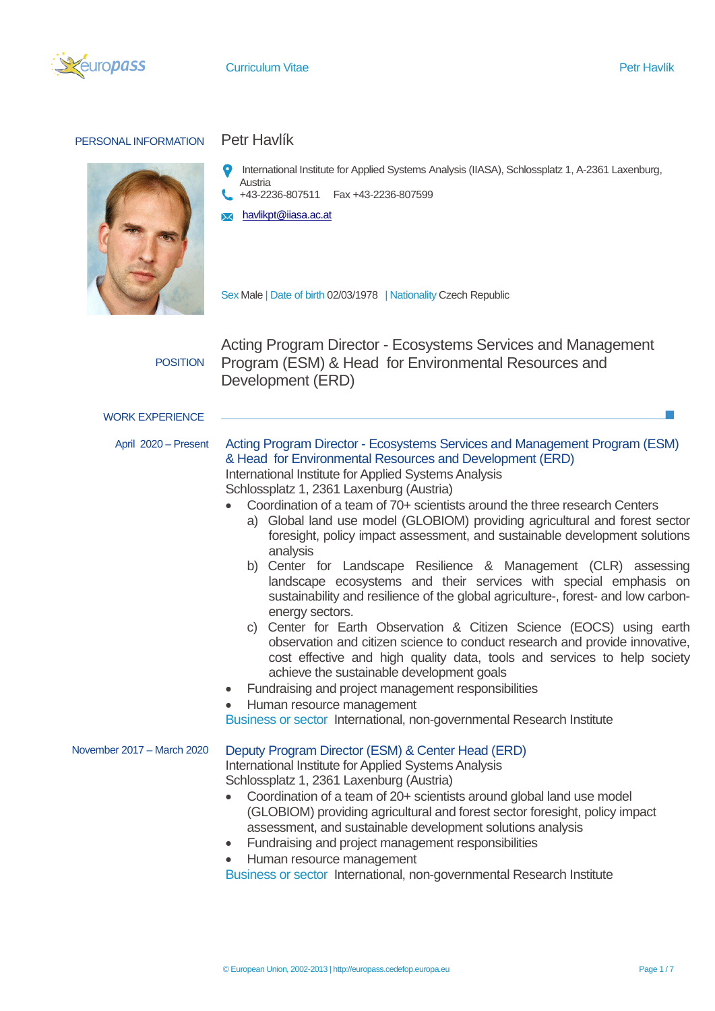

## PERSONAL INFORMATION Petr Havlík



- International Institute for Applied Systems Analysis (IIASA), Schlossplatz 1, A-2361 Laxenburg, **Austria**
- +43-2236-807511 Fax +43-2236-807599
- **X** [havlikpt@iiasa.ac.at](mailto:havlikpt@iiasa.ac.at)

Sex Male | Date of birth 02/03/1978 | Nationality Czech Republic

POSITION

Acting Program Director - Ecosystems Services and Management Program (ESM) & Head for Environmental Resources and Development (ERD)

## WORK EXPERIENCE

- 
- April 2020 Present Acting Program Director Ecosystems Services and Management Program (ESM) & Head for Environmental Resources and Development (ERD) International Institute for Applied Systems Analysis Schlossplatz 1, 2361 Laxenburg (Austria)
	- Coordination of a team of 70+ scientists around the three research Centers
		- a) Global land use model (GLOBIOM) providing agricultural and forest sector foresight, policy impact assessment, and sustainable development solutions analysis
		- b) Center for Landscape Resilience & Management (CLR) assessing landscape ecosystems and their services with special emphasis on sustainability and resilience of the global agriculture-, forest- and low carbonenergy sectors.
		- c) Center for Earth Observation & Citizen Science (EOCS) using earth observation and citizen science to conduct research and provide innovative, cost effective and high quality data, tools and services to help society achieve the sustainable development goals
	- Fundraising and project management responsibilities
	- Human resource management

Business or sector International, non-governmental Research Institute

## November 2017 – March 2020 Deputy Program Director (ESM) & Center Head (ERD)

International Institute for Applied Systems Analysis Schlossplatz 1, 2361 Laxenburg (Austria)

- Coordination of a team of 20+ scientists around global land use model (GLOBIOM) providing agricultural and forest sector foresight, policy impact assessment, and sustainable development solutions analysis
- Fundraising and project management responsibilities
- Human resource management

Business or sector International, non-governmental Research Institute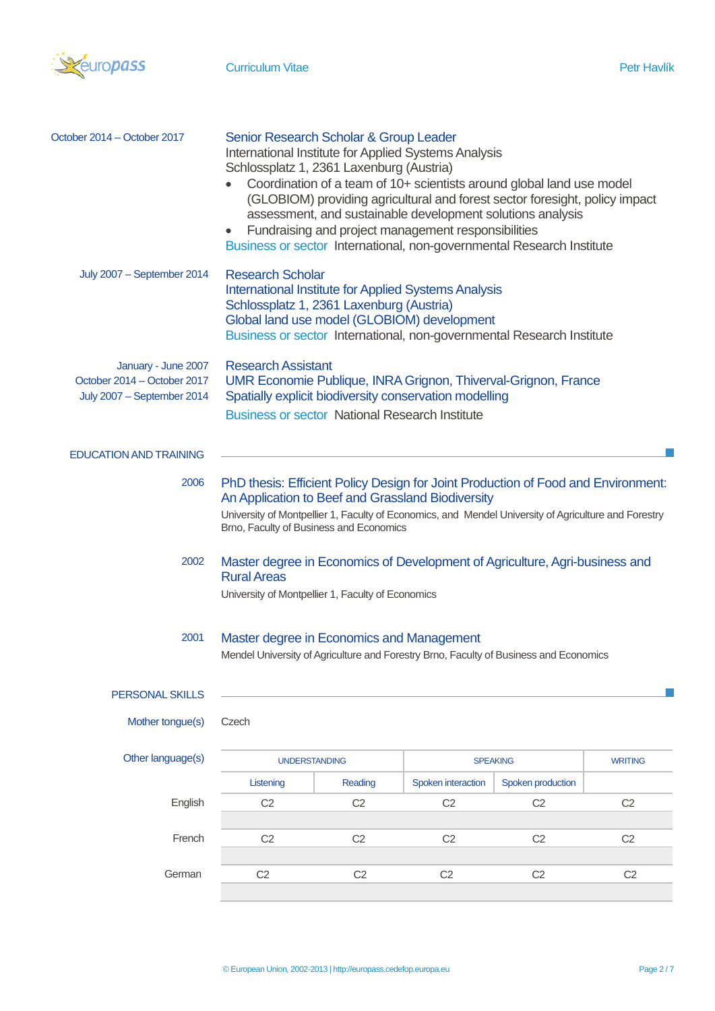

| October 2014 - October 2017                                                      | Senior Research Scholar & Group Leader<br>International Institute for Applied Systems Analysis<br>Schlossplatz 1, 2361 Laxenburg (Austria)<br>Coordination of a team of 10+ scientists around global land use model<br>(GLOBIOM) providing agricultural and forest sector foresight, policy impact<br>assessment, and sustainable development solutions analysis<br>Fundraising and project management responsibilities<br>$\bullet$<br>Business or sector International, non-governmental Research Institute |                |                    |                   |                |
|----------------------------------------------------------------------------------|---------------------------------------------------------------------------------------------------------------------------------------------------------------------------------------------------------------------------------------------------------------------------------------------------------------------------------------------------------------------------------------------------------------------------------------------------------------------------------------------------------------|----------------|--------------------|-------------------|----------------|
| July 2007 - September 2014                                                       | <b>Research Scholar</b><br><b>International Institute for Applied Systems Analysis</b><br>Schlossplatz 1, 2361 Laxenburg (Austria)<br>Global land use model (GLOBIOM) development<br>Business or sector International, non-governmental Research Institute                                                                                                                                                                                                                                                    |                |                    |                   |                |
| January - June 2007<br>October 2014 - October 2017<br>July 2007 - September 2014 | <b>Research Assistant</b><br>UMR Economie Publique, INRA Grignon, Thiverval-Grignon, France<br>Spatially explicit biodiversity conservation modelling<br><b>Business or sector National Research Institute</b>                                                                                                                                                                                                                                                                                                |                |                    |                   |                |
| <b>EDUCATION AND TRAINING</b>                                                    |                                                                                                                                                                                                                                                                                                                                                                                                                                                                                                               |                |                    |                   |                |
| 2006                                                                             | PhD thesis: Efficient Policy Design for Joint Production of Food and Environment:<br>An Application to Beef and Grassland Biodiversity<br>University of Montpellier 1, Faculty of Economics, and Mendel University of Agriculture and Forestry<br>Brno, Faculty of Business and Economics                                                                                                                                                                                                                     |                |                    |                   |                |
| 2002                                                                             | Master degree in Economics of Development of Agriculture, Agri-business and<br><b>Rural Areas</b><br>University of Montpellier 1, Faculty of Economics                                                                                                                                                                                                                                                                                                                                                        |                |                    |                   |                |
| 2001                                                                             | Master degree in Economics and Management<br>Mendel University of Agriculture and Forestry Brno, Faculty of Business and Economics                                                                                                                                                                                                                                                                                                                                                                            |                |                    |                   |                |
| PERSONAL SKILLS                                                                  |                                                                                                                                                                                                                                                                                                                                                                                                                                                                                                               |                |                    |                   |                |
| Mother tongue(s)                                                                 | Czech                                                                                                                                                                                                                                                                                                                                                                                                                                                                                                         |                |                    |                   |                |
| Other language(s)                                                                | <b>UNDERSTANDING</b>                                                                                                                                                                                                                                                                                                                                                                                                                                                                                          |                | <b>SPEAKING</b>    |                   | <b>WRITING</b> |
|                                                                                  | Listening                                                                                                                                                                                                                                                                                                                                                                                                                                                                                                     | Reading        | Spoken interaction | Spoken production |                |
| English                                                                          | C <sub>2</sub>                                                                                                                                                                                                                                                                                                                                                                                                                                                                                                | C <sub>2</sub> | C <sub>2</sub>     | C <sub>2</sub>    | C <sub>2</sub> |
| French                                                                           | C <sub>2</sub>                                                                                                                                                                                                                                                                                                                                                                                                                                                                                                | C <sub>2</sub> | C <sub>2</sub>     | C <sub>2</sub>    | C <sub>2</sub> |
| German                                                                           | C <sub>2</sub>                                                                                                                                                                                                                                                                                                                                                                                                                                                                                                | C <sub>2</sub> | C <sub>2</sub>     | C <sub>2</sub>    | C <sub>2</sub> |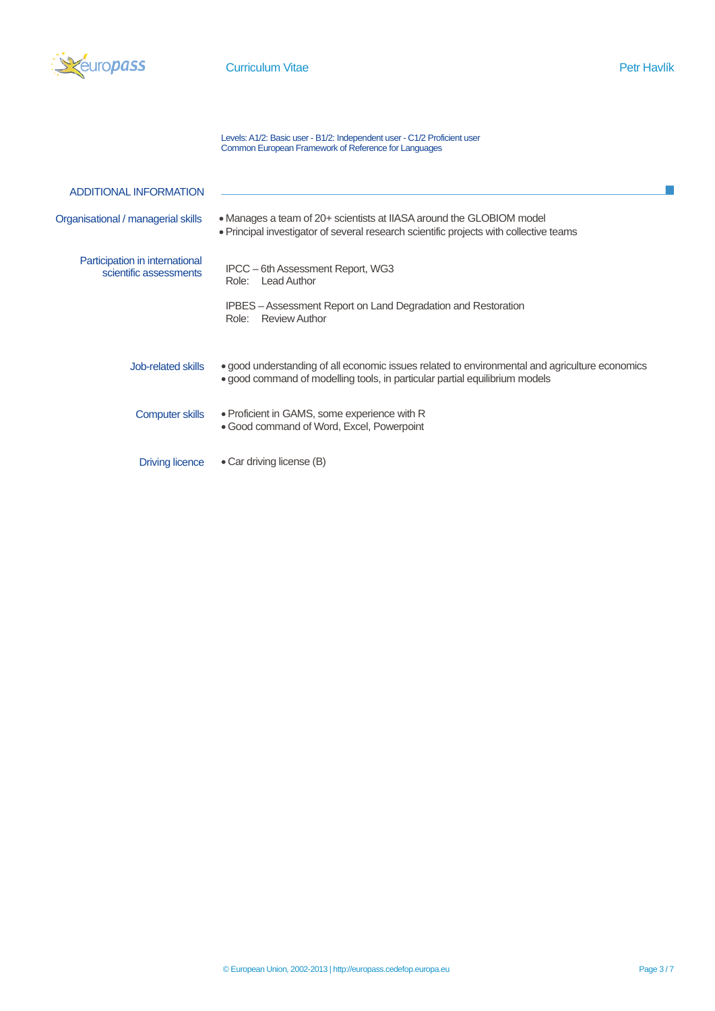

Levels: A1/2: Basic user - B1/2: Independent user - C1/2 Proficient user Common European Framework of Reference for Languages

| <b>ADDITIONAL INFORMATION</b>                            |                                                                                                                                                                               |
|----------------------------------------------------------|-------------------------------------------------------------------------------------------------------------------------------------------------------------------------------|
| Organisational / managerial skills                       | • Manages a team of 20+ scientists at IIASA around the GLOBIOM model<br>• Principal investigator of several research scientific projects with collective teams                |
| Participation in international<br>scientific assessments | IPCC - 6th Assessment Report, WG3<br><b>Lead Author</b><br>Role:<br>IPBES - Assessment Report on Land Degradation and Restoration                                             |
|                                                          | Review Author<br>Role:                                                                                                                                                        |
| Job-related skills                                       | • good understanding of all economic issues related to environmental and agriculture economics<br>• good command of modelling tools, in particular partial equilibrium models |
| <b>Computer skills</b>                                   | • Proficient in GAMS, some experience with R<br>• Good command of Word, Excel, Powerpoint                                                                                     |
| <b>Driving licence</b>                                   | • Car driving license (B)                                                                                                                                                     |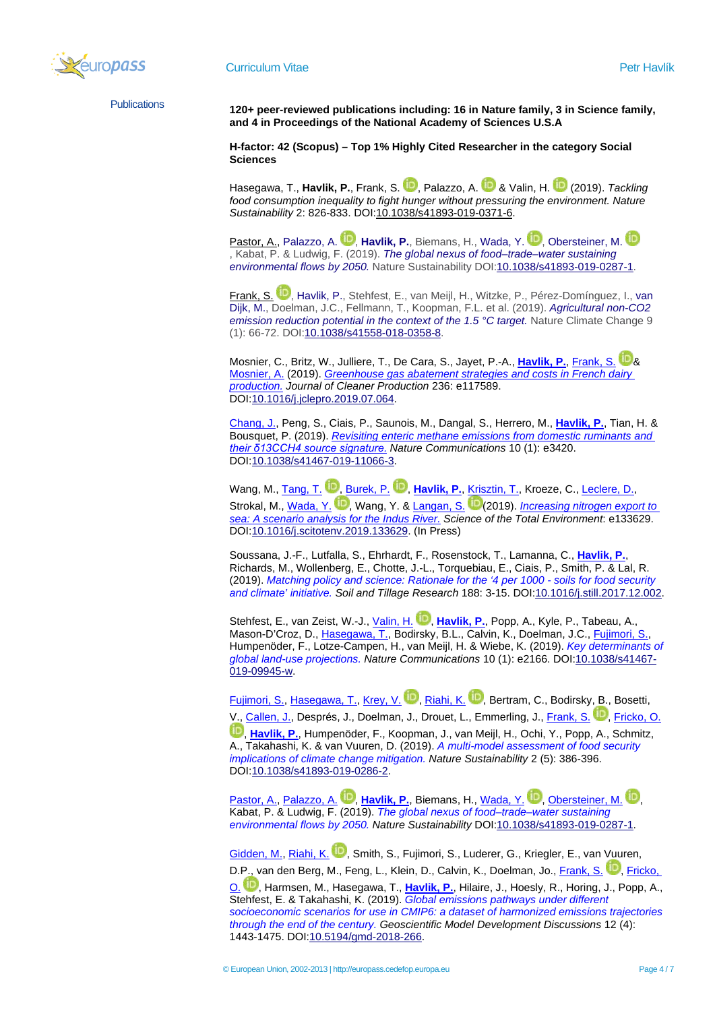

Publications **120+ peer-reviewed publications including: 16 in Nature family, 3 in Science family, and 4 in Proceedings of the National Academy of Sciences U.S.A**

> **H-factor: 42 (Scopus) – Top 1% Highly Cited Researcher in the category Social Sciences**

[Hasegawa,](http://pure.iiasa.ac.at/view/iiasa/1314.html) [T.,](http://pure.iiasa.ac.at/view/iiasa/1314.html) [Havlik,](http://pure.iiasa.ac.at/view/iiasa/119.html) P., [Frank,](http://pure.iiasa.ac.at/view/iiasa/94.html) S. D.[,](https://orcid.org/0000-0001-5702-8547) [Palazzo,](http://pure.iiasa.ac.at/view/iiasa/223.html) A. D & [Valin,](http://pure.iiasa.ac.at/view/iiasa/316.html) H[.](https://orcid.org/0000-0002-0618-773X) D (2019). [Tackling](http://pure.iiasa.ac.at/id/eprint/16066/) *food consumption inequality to fight hunger without pressuring the [environment.](http://pure.iiasa.ac.at/id/eprint/16066/) Nature Sustainability* 2: 826-833. DOI[:10.1038/s41893-019-0371-6.](https://doi.org/10.1038/s41893-019-0371-6)

[Pastor,](http://pure.iiasa.ac.at/view/iiasa/226.html) A., [Palazzo,](http://pure.iiasa.ac.at/view/iiasa/223.html) A. **D.[,](https://orcid.org/0000-0003-4770-2539) [Havlik,](http://pure.iiasa.ac.at/view/iiasa/119.html) P.**, Biemans, H., [Wada,](http://pure.iiasa.ac.at/view/iiasa/2601.html) Y. D., [Obersteiner,](http://pure.iiasa.ac.at/view/iiasa/219.html) M. D. , Kabat, P. & Ludwig, F. (2019). *The global nexus of [food–trade–water](http://pure.iiasa.ac.at/id/eprint/15906/) sustaining [environmental](http://pure.iiasa.ac.at/id/eprint/15906/) flows by 2050.* Nature Sustainability DOI[:10.1038/s41893-019-0287-1.](https://doi.org/10.1038/s41893-019-0287-1)

[Frank,](http://pure.iiasa.ac.at/view/iiasa/94.html) S. <sup>(D)</sup>[,](https://orcid.org/0000-0001-5702-8547) [Havlik,](http://pure.iiasa.ac.at/view/iiasa/119.html) P., Stehfest, E., [van](http://pure.iiasa.ac.at/view/iiasa/2911.html) Meijl, H., Witzke, P., Pérez-Domínguez, I., van [Dijk,](http://pure.iiasa.ac.at/view/iiasa/2911.html) M., Doelman, J.C., Fellmann, T., Koopman, F.L. et al. (2019). *[Agricultural](http://pure.iiasa.ac.at/id/eprint/15632/) non-CO2 emission [reduction](http://pure.iiasa.ac.at/id/eprint/15632/) potential in the context of the 1.5 °C target.* Nature Climate Change 9 (1): 66-72. DO[I:10.1038/s41558-018-0358-8.](https://doi.org/10.1038/s41558-018-0358-8)

Mosnier, C., Britz, W., Julliere, T., De Cara, S., Jayet, P.-A., *[Havlik, P.](http://pure.iiasa.ac.at/view/iiasa/119.html), [Frank, S.](http://pure.iiasa.ac.at/view/iiasa/94.html) D.*[&](https://orcid.org/0000-0001-5702-8547) [Mosnier, A.](http://pure.iiasa.ac.at/view/iiasa/212.html) (2019). *[Greenhouse gas abatement strategies and costs in French dairy](http://pure.iiasa.ac.at/id/eprint/15992/)  [production.](http://pure.iiasa.ac.at/id/eprint/15992/) Journal of Cleaner Production* 236: e117589. DO[I:10.1016/j.jclepro.2019.07.064.](https://doi.org/10.1016/j.jclepro.2019.07.064)

[Chang, J.,](http://pure.iiasa.ac.at/view/iiasa/3116.html) Peng, S., Ciais, P., Saunois, M., Dangal, S., Herrero, M., **[Havlik, P.](http://pure.iiasa.ac.at/view/iiasa/119.html)**, Tian, H. & Bousquet, P. (2019). *[Revisiting enteric methane emissions from domestic ruminants and](http://pure.iiasa.ac.at/id/eprint/16017/)  [their δ13CCH4 source signature.](http://pure.iiasa.ac.at/id/eprint/16017/) Nature Communications* 10 (1): e3420. DO[I:10.1038/s41467-019-11066-3.](https://doi.org/10.1038/s41467-019-11066-3)

Wang, M.[, Tang, T.](http://pure.iiasa.ac.at/view/iiasa/3086.html) D.[,](https://orcid.org/0000-0002-2867-9241) [Burek, P.](http://pure.iiasa.ac.at/view/iiasa/46.html) D.[,](https://orcid.org/0000-0001-6390-8487) [Havlik, P.](http://pure.iiasa.ac.at/view/iiasa/119.html)[, Krisztin, T.,](http://pure.iiasa.ac.at/view/iiasa/167.html) Kroeze, C.[, Leclere, D.,](http://pure.iiasa.ac.at/view/iiasa/174.html) Strokal, M., [Wada, Y.](http://pure.iiasa.ac.at/view/iiasa/2601.html) <sup>(20</sup>)[,](https://orcid.org/0000-0003-4770-2539) Wang, Y. & [Langan, S.](http://pure.iiasa.ac.at/view/iiasa/2691.html) <sup>[\(](https://orcid.org/0000-0003-0742-3658)20</sup> (2019). *Increasing nitrogen export to [sea: A scenario analysis for the Indus River.](http://pure.iiasa.ac.at/id/eprint/16012/) Science of the Total Environment*: e133629. DO[I:10.1016/j.scitotenv.2019.133629.](https://doi.org/10.1016/j.scitotenv.2019.133629) (In Press)

Soussana, J.-F., Lutfalla, S., Ehrhardt, F., Rosenstock, T., Lamanna, C., **[Havlik, P.](http://pure.iiasa.ac.at/view/iiasa/119.html)**, Richards, M., Wollenberg, E., Chotte, J.-L., Torquebiau, E., Ciais, P., Smith, P. & Lal, R. (2019). *[Matching policy and science: Rationale for the '4 per 1000 -](http://pure.iiasa.ac.at/id/eprint/15017/) soils for food security [and climate' initiative.](http://pure.iiasa.ac.at/id/eprint/15017/) Soil and Tillage Research* 188: 3-15. DOI[:10.1016/j.still.2017.12.002.](https://doi.org/10.1016/j.still.2017.12.002)

Stehfest[,](https://orcid.org/0000-0002-0618-773X) E., van Zeist, W.-J., *Valin, H. D., [Havlik, P.](http://pure.iiasa.ac.at/view/iiasa/119.html)*, Popp, A., Kyle, P., Tabeau, A., Mason-D'Croz, D., <u>Hasegawa, T.,</u> Bodirsky, B.L., Calvin, K., Doelman, J.C., <u>Fujimori, S.,</u> Humpenöder, F., Lotze-Campen, H., van Meijl, H. & Wiebe, K. (2019). *[Key determinants of](http://pure.iiasa.ac.at/id/eprint/15907/)  [global land-use projections.](http://pure.iiasa.ac.at/id/eprint/15907/) Nature Communications* 10 (1): e2166. DOI[:10.1038/s41467-](https://doi.org/10.1038/s41467-019-09945-w) [019-09945-w.](https://doi.org/10.1038/s41467-019-09945-w)

[Fujimori, S.,](http://pure.iiasa.ac.at/view/iiasa/1267.html) [Hasegawa, T.,](http://pure.iiasa.ac.at/view/iiasa/1314.html) [Krey, V.](http://pure.iiasa.ac.at/view/iiasa/166.html) D.[,](https://orcid.org/0000-0003-0307-3515) [Riahi, K.](http://pure.iiasa.ac.at/view/iiasa/250.html) D.[,](https://orcid.org/0000-0001-7193-3498) Bertram, C., Bodirsky, B., Bosetti, V.[, Callen, J.,](http://pure.iiasa.ac.at/view/iiasa/2609.html) Després, J., Doelman, J., Drouet, L., Emmerling, J., [Frank, S.](http://pure.iiasa.ac.at/view/iiasa/94.html) **D.**[,](https://orcid.org/0000-0001-5702-8547) [Fricko, O.](http://pure.iiasa.ac.at/view/iiasa/97.html) [,](https://orcid.org/0000-0002-6835-9883) **[Havlik, P.](http://pure.iiasa.ac.at/view/iiasa/119.html)**, Humpenöder, F., Koopman, J., van Meijl, H., Ochi, Y., Popp, A., Schmitz, A., Takahashi, K. & van Vuuren, D. (2019). *[A multi-model assessment of food security](http://pure.iiasa.ac.at/id/eprint/15918/)  [implications of climate change mitigation.](http://pure.iiasa.ac.at/id/eprint/15918/) Nature Sustainability* 2 (5): 386-396. DO[I:10.1038/s41893-019-0286-2.](https://doi.org/10.1038/s41893-019-0286-2)

[Pastor, A.,](http://pure.iiasa.ac.at/view/iiasa/226.html) [Palazzo, A.](http://pure.iiasa.ac.at/view/iiasa/223.html) <sup>(D.</sup>[,](https://orcid.org/0000-0001-6981-2769) [Havlik, P.](http://pure.iiasa.ac.at/view/iiasa/119.html), Biemans, H., [Wada, Y.](http://pure.iiasa.ac.at/view/iiasa/2601.html) <sup>(D.</sup>, [Obersteiner, M.](http://pure.iiasa.ac.at/view/iiasa/219.html) <sup>(D.</sup>) Kabat, P. & Ludwig, F. (2019). *[The global nexus of food–trade–water sustaining](http://pure.iiasa.ac.at/id/eprint/15906/)  [environmental flows by 2050.](http://pure.iiasa.ac.at/id/eprint/15906/) Nature Sustainability* DOI[:10.1038/s41893-019-0287-1.](https://doi.org/10.1038/s41893-019-0287-1)

[Gidden, M.,](http://pure.iiasa.ac.at/view/iiasa/103.html) [Riahi, K.](http://pure.iiasa.ac.at/view/iiasa/250.html) D.[,](https://orcid.org/0000-0001-7193-3498) Smith, S., Fujimori, S., Luderer, G., Kriegler, E., van Vuuren, D.P., van den Berg, M., Feng, L., Klein, D., Calvin, K., Doelman, Jo., [Frank, S.](http://pure.iiasa.ac.at/view/iiasa/94.html) <sup>ID</sup>.[,](https://orcid.org/0000-0001-5702-8547) Fricko,

[O.](http://pure.iiasa.ac.at/view/iiasa/97.html) <sup>D</sup>.[,](https://orcid.org/0000-0002-6835-9883) Harmsen, M., Hasegawa, T., [Havlik, P.](http://pure.iiasa.ac.at/view/iiasa/119.html), Hilaire, J., Hoesly, R., Horing, J., Popp, A., Stehfest, E. & Takahashi, K. (2019). *[Global emissions pathways under different](http://pure.iiasa.ac.at/id/eprint/15689/)  socioeconomic scenarios for use in [CMIP6: a dataset of harmonized emissions trajectories](http://pure.iiasa.ac.at/id/eprint/15689/)  [through the end of the century.](http://pure.iiasa.ac.at/id/eprint/15689/) Geoscientific Model Development Discussions* 12 (4): 1443-1475. DO[I:10.5194/gmd-2018-266.](https://doi.org/10.5194/gmd-2018-266)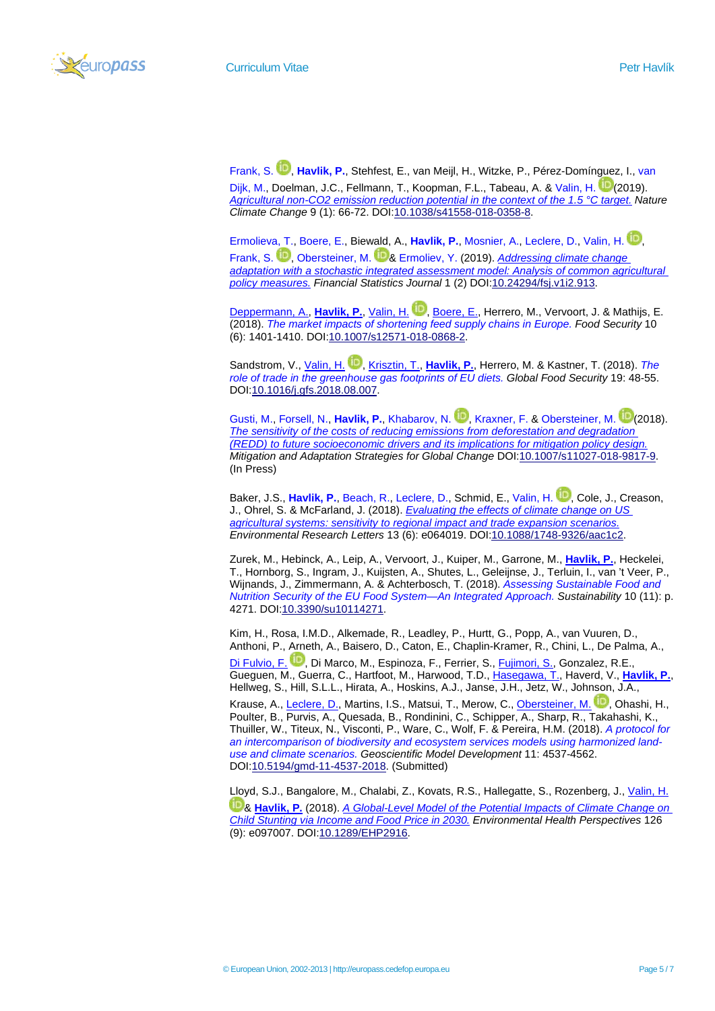

[Frank, S.](http://pure.iiasa.ac.at/view/iiasa/94.html) **D.[,](https://orcid.org/0000-0001-5702-8547) [Havlik, P.](http://pure.iiasa.ac.at/view/iiasa/119.html)**, Stehfest, E.[, van](http://pure.iiasa.ac.at/view/iiasa/2911.html) Meijl, H., Witzke, P., Pérez-Domínguez, I., van

[Dijk, M.,](http://pure.iiasa.ac.at/view/iiasa/2911.html) Doelman, J.C., Fellmann, T., Koopman, F.L., Tabeau, A. & [Valin, H.](http://pure.iiasa.ac.at/view/iiasa/316.html) [\(](https://orcid.org/0000-0002-0618-773X)2019). *[Agricultural non-CO2 emission reduction potential in the context of the 1.5 °C target.](http://pure.iiasa.ac.at/id/eprint/15632/) Nature Climate Change* 9 (1): 66-72. DOI[:10.1038/s41558-018-0358-8.](https://doi.org/10.1038/s41558-018-0358-8)

[Ermolieva, T.,](http://pure.iiasa.ac.at/view/iiasa/83.html) [Boere, E.,](http://pure.iiasa.ac.at/view/iiasa/34.html) Biewald, A., [Havlik, P.](http://pure.iiasa.ac.at/view/iiasa/119.html), [Mosnier, A.,](http://pure.iiasa.ac.at/view/iiasa/212.html) [Leclere, D.,](http://pure.iiasa.ac.at/view/iiasa/174.html) [Valin, H.](http://pure.iiasa.ac.at/view/iiasa/316.html) **D.** [Frank, S.](http://pure.iiasa.ac.at/view/iiasa/94.html) <sup>(D</sup>[,](https://orcid.org/0000-0001-5702-8547) [Obersteiner, M.](http://pure.iiasa.ac.at/view/iiasa/219.html) D[&](https://orcid.org/0000-0001-6981-2769) [Ermoliev, Y.](http://pure.iiasa.ac.at/view/iiasa/1862.html) (2019). *Addressing climate change [adaptation with a stochastic integrated assessment model: Analysis of common agricultural](http://pure.iiasa.ac.at/id/eprint/15770/)  [policy measures.](http://pure.iiasa.ac.at/id/eprint/15770/) Financial Statistics Journal* 1 (2) DOI[:10.24294/fsj.v1i2.913.](https://doi.org/10.24294/fsj.v1i2.913)

[Deppermann, A.,](http://pure.iiasa.ac.at/view/iiasa/64.html) [Havlik, P.](http://pure.iiasa.ac.at/view/iiasa/119.html), [Valin, H.](http://pure.iiasa.ac.at/view/iiasa/316.html) D.[,](https://orcid.org/0000-0002-0618-773X) [Boere, E.,](http://pure.iiasa.ac.at/view/iiasa/34.html) Herrero, M., Vervoort, J. & Mathijs, E. (2018). *[The market impacts of shortening feed supply chains in Europe.](http://pure.iiasa.ac.at/id/eprint/15607/) Food Security* 10 (6): 1401-1410. DOI[:10.1007/s12571-018-0868-2.](https://doi.org/10.1007/s12571-018-0868-2)

Sandstrom[,](https://orcid.org/0000-0002-0618-773X) V., *Valin, H. D., [Krisztin, T.,](http://pure.iiasa.ac.at/view/iiasa/167.html) [Havlik, P.](http://pure.iiasa.ac.at/view/iiasa/119.html)*, Herrero, M. & Kastner, T. (2018). The *[role of trade in the greenhouse gas footprints of EU diets.](http://pure.iiasa.ac.at/id/eprint/15461/) Global Food Security* 19: 48-55. DOI[:10.1016/j.gfs.2018.08.007.](https://doi.org/10.1016/j.gfs.2018.08.007)

[Gusti, M.,](http://pure.iiasa.ac.at/view/iiasa/114.html) [Forsell, N.,](http://pure.iiasa.ac.at/view/iiasa/93.html) [Havlik, P.](http://pure.iiasa.ac.at/view/iiasa/119.html), [Khabarov, N.](http://pure.iiasa.ac.at/view/iiasa/151.html) **D.**[,](https://orcid.org/0000-0001-5372-4668) [Kraxner, F.](http://pure.iiasa.ac.at/view/iiasa/165.html) & [Obersteiner, M.](http://pure.iiasa.ac.at/view/iiasa/219.html) D[\(](https://orcid.org/0000-0001-6981-2769)2018). *[The sensitivity of the costs of reducing emissions from deforestation and degradation](http://pure.iiasa.ac.at/id/eprint/15323/)  [\(REDD\) to future socioeconomic drivers and its implications for mitigation policy design.](http://pure.iiasa.ac.at/id/eprint/15323/) Mitigation and Adaptation Strategies for Global Change* DO[I:10.1007/s11027-018-9817-9.](https://doi.org/10.1007/s11027-018-9817-9) (In Press)

Baker, J.S., [Havlik, P.](http://pure.iiasa.ac.at/view/iiasa/119.html), [Beach, R.,](http://pure.iiasa.ac.at/view/iiasa/2828.html) [Leclere, D.,](http://pure.iiasa.ac.at/view/iiasa/174.html) Schmid, E., [Valin, H.](http://pure.iiasa.ac.at/view/iiasa/316.html) D.[,](https://orcid.org/0000-0002-0618-773X) Cole, J., Creason, J., Ohrel, S. & McFarland, J. (2018). *[Evaluating the effects of climate change on US](http://pure.iiasa.ac.at/id/eprint/15342/)  [agricultural systems: sensitivity to regional impact and trade expansion scenarios.](http://pure.iiasa.ac.at/id/eprint/15342/) Environmental Research Letters* 13 (6): e064019. DO[I:10.1088/1748-9326/aac1c2.](https://doi.org/10.1088/1748-9326/aac1c2)

Zurek, M., Hebinck, A., Leip, A., Vervoort, J., Kuiper, M., Garrone, M., **[Havlik, P.](http://pure.iiasa.ac.at/view/iiasa/119.html)**, Heckelei, T., Hornborg, S., Ingram, J., Kuijsten, A., Shutes, L., Geleijnse, J., Terluin, I., van 't Veer, P., Wijnands, J., Zimmermann, A. & Achterbosch, T. (2018). *[Assessing Sustainable Food and](http://pure.iiasa.ac.at/id/eprint/15600/)  [Nutrition Security of the EU Food System—An Integrated Approach.](http://pure.iiasa.ac.at/id/eprint/15600/) Sustainability* 10 (11): p. 4271. DOI[:10.3390/su10114271.](https://doi.org/10.3390/su10114271)

Kim, H., Rosa, I.M.D., Alkemade, R., Leadley, P., Hurtt, G., Popp, A., van Vuuren, D., Anthoni, P., Arneth, A., Baisero, D., Caton, E., Chaplin-Kramer, R., Chini, L., De Palma, A., [Di Fulvio, F.](http://pure.iiasa.ac.at/view/iiasa/65.html) D.[,](https://orcid.org/0000-0002-7317-6360) Di Marco, M., Espinoza, F., Ferrier, S., [Fujimori, S.,](http://pure.iiasa.ac.at/view/iiasa/1267.html) Gonzalez, R.E., Gueguen, M., Guerra, C., Hartfoot, M., Harwood, T.D., [Hasegawa, T.,](http://pure.iiasa.ac.at/view/iiasa/1314.html) Haverd, V., **[Havlik, P.](http://pure.iiasa.ac.at/view/iiasa/119.html)**, Hellweg, S., Hill, S.L.L., Hirata, A., Hoskins, A.J., Janse, J.H., Jetz, W., Johnson, J.A.,

Krause, A., [Leclere, D.,](http://pure.iiasa.ac.at/view/iiasa/174.html) Martins, I.S., Matsui, T., Merow, C.[, Obersteiner, M.](http://pure.iiasa.ac.at/view/iiasa/219.html) D.[,](https://orcid.org/0000-0001-6981-2769) Ohashi, H., Poulter, B., Purvis, A., Quesada, B., Rondinini, C., Schipper, A., Sharp, R., Takahashi, K., Thuiller, W., Titeux, N., Visconti, P., Ware, C., Wolf, F. & Pereira, H.M. (2018). *[A protocol for](http://pure.iiasa.ac.at/id/eprint/15258/)  [an intercomparison of biodiversity and ecosystem services models using harmonized land](http://pure.iiasa.ac.at/id/eprint/15258/)[use and climate scenarios.](http://pure.iiasa.ac.at/id/eprint/15258/) Geoscientific Model Development* 11: 4537-4562. DOI[:10.5194/gmd-11-4537-2018.](https://doi.org/10.5194/gmd-11-4537-2018) (Submitted)

Lloyd, S.J., Bangalore, M., Chalabi, Z., Kovats, R.S., Hallegatte, S., Rozenberg, J., [Valin, H.](http://pure.iiasa.ac.at/view/iiasa/316.html) [&](https://orcid.org/0000-0002-0618-773X) **[Havlik, P.](http://pure.iiasa.ac.at/view/iiasa/119.html)** (2018). *A Global-Level [Model of the Potential Impacts of Climate Change on](http://pure.iiasa.ac.at/id/eprint/15488/)  [Child Stunting via Income and Food Price in 2030.](http://pure.iiasa.ac.at/id/eprint/15488/) Environmental Health Perspectives* 126 (9): e097007. DOI[:10.1289/EHP2916.](https://doi.org/10.1289/EHP2916)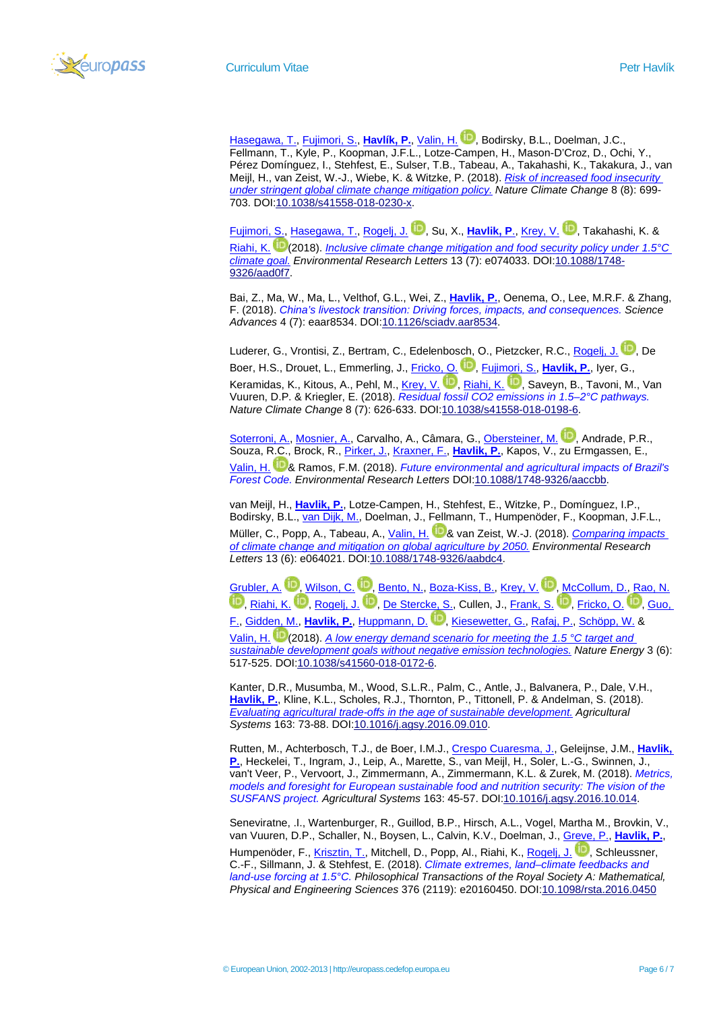

[Hasegawa, T.,](http://pure.iiasa.ac.at/view/iiasa/1314.html) [Fujimori, S.,](http://pure.iiasa.ac.at/view/iiasa/1267.html) **[Havlík, P.](http://pure.iiasa.ac.at/view/iiasa/119.html)**, [Valin, H.](http://pure.iiasa.ac.at/view/iiasa/316.html) , Bodirsky, B.L., Doelman, J.C., Fellmann, T., Kyle, P., Koopman, J.F.L., Lotze-[Camp](https://orcid.org/0000-0002-0618-773X)en, H., Mason-D'Croz, D., Ochi, Y., Pérez Domínguez, I., Stehfest, E., Sulser, T.B., Tabeau, A., Takahashi, K., Takakura, J., van Meijl, H., van Zeist, W.-J., Wiebe, K. & Witzke, P. (2018). *[Risk of increased food insecurity](http://pure.iiasa.ac.at/id/eprint/15389/)  [under stringent global climate change mitigation policy.](http://pure.iiasa.ac.at/id/eprint/15389/) Nature Climate Change* 8 (8): 699- 703. DOI[:10.1038/s41558-018-0230-x.](https://doi.org/10.1038/s41558-018-0230-x)

[Fujimori, S.,](http://pure.iiasa.ac.at/view/iiasa/1267.html) [Hasegawa, T.,](http://pure.iiasa.ac.at/view/iiasa/1314.html) [Rogelj, J.](http://pure.iiasa.ac.at/view/iiasa/254.html) **D.**[,](https://orcid.org/0000-0003-2056-9061) Su, X., [Havlik, P](http://pure.iiasa.ac.at/view/iiasa/119.html)., [Krey, V.](http://pure.iiasa.ac.at/view/iiasa/166.html) D.[,](https://orcid.org/0000-0003-0307-3515) Takahashi, K. & [Riahi, K.](http://pure.iiasa.ac.at/view/iiasa/250.html) [\(](https://orcid.org/0000-0001-7193-3498)2018). *[Inclusive climate change mitigation and food security policy under 1.5°C](http://pure.iiasa.ac.at/id/eprint/15362/)  [climate goal.](http://pure.iiasa.ac.at/id/eprint/15362/) Environmental Research Letters* 13 (7): e074033. DOI[:10.1088/1748-](https://doi.org/10.1088/1748-9326/aad0f7) [9326/aad0f7.](https://doi.org/10.1088/1748-9326/aad0f7)

Bai, Z., Ma, W., Ma, L., Velthof, G.L., Wei, Z., **[Havlik, P.](http://pure.iiasa.ac.at/view/iiasa/119.html)**, Oenema, O., Lee, M.R.F. & Zhang, F. (2018). *[China's livestock transition: Driving forces, impacts, and consequences.](http://pure.iiasa.ac.at/id/eprint/15383/) Science Advances* 4 (7): eaar8534. DOI[:10.1126/sciadv.aar8534.](https://doi.org/10.1126/sciadv.aar8534)

Luderer, G., Vrontisi, Z., Bertram, C., Edelenbosch, O., Pietzcker, R.C.[, Rogelj, J.](http://pure.iiasa.ac.at/view/iiasa/254.html) D.[,](https://orcid.org/0000-0003-2056-9061) De Boer[,](https://orcid.org/0000-0002-6835-9883) H.S., Drouet, L., Emmerling, J., **Fricko, O. D., [Fujimori, S.,](http://pure.iiasa.ac.at/view/iiasa/1267.html) [Havlik, P.](http://pure.iiasa.ac.at/view/iiasa/119.html)**, Iyer, G., Keramidas, K., Kitous, A., Pehl, M.[, Krey, V.](http://pure.iiasa.ac.at/view/iiasa/166.html) D.[,](https://orcid.org/0000-0001-7193-3498) [Riahi, K.](http://pure.iiasa.ac.at/view/iiasa/250.html) D., Saveyn, B., Tavoni, M., Van Vuuren, D.P. & Kriegler, E. (2018). *[Residual fossil CO2 emissions in 1.5–2°C pathways.](http://pure.iiasa.ac.at/id/eprint/15340/) Nature Climate Change* 8 (7): 626-633. DOI[:10.1038/s41558-018-0198-6.](https://doi.org/10.1038/s41558-018-0198-6)

[Soterroni, A.,](http://pure.iiasa.ac.at/view/iiasa/2842.html) [Mosnier, A.,](http://pure.iiasa.ac.at/view/iiasa/212.html) Carvalho, A., Câmara, G., [Obersteiner, M.](http://pure.iiasa.ac.at/view/iiasa/219.html) <sup>11</sup>[,](https://orcid.org/0000-0001-6981-2769) Andrade, P.R., Souza, R.C., Brock, R., [Pirker, J.,](http://pure.iiasa.ac.at/view/iiasa/234.html) [Kraxner, F.,](http://pure.iiasa.ac.at/view/iiasa/165.html) **[Havlik, P.](http://pure.iiasa.ac.at/view/iiasa/119.html)**, Kapos, V., zu Ermgassen, E., [Valin, H.](http://pure.iiasa.ac.at/view/iiasa/316.html) [&](https://orcid.org/0000-0002-0618-773X) Ramos, F.M. (2018). *[Future environmental and agricultural impacts of Brazil's](http://pure.iiasa.ac.at/id/eprint/15345/)  [Forest Code.](http://pure.iiasa.ac.at/id/eprint/15345/) Environmental Research Letters* DOI[:10.1088/1748-9326/aaccbb.](https://doi.org/10.1088/1748-9326/aaccbb)

van Meijl, H., **[Havlik, P.](http://pure.iiasa.ac.at/view/iiasa/119.html)**, Lotze-Campen, H., Stehfest, E., Witzke, P., Domínguez, I.P., Bodirsky, B.L., [van Dijk, M.,](http://pure.iiasa.ac.at/view/iiasa/2911.html) Doelman, J., Fellmann, T., Humpenöder, F., Koopman, J.F.L., Müller, C., Popp, A., Tabeau, A., [Valin, H.](http://pure.iiasa.ac.at/view/iiasa/316.html) <sup>11</sup> [&](https://orcid.org/0000-0002-0618-773X) van Zeist, W.-J. (2018). *Comparing impacts [of climate change and mitigation on global agriculture by 2050.](http://pure.iiasa.ac.at/id/eprint/15343/) Environmental Research Letters* 13 (6): e064021. DOI[:10.1088/1748-9326/aabdc4.](https://doi.org/10.1088/1748-9326/aabdc4)

[Grubler, A.](http://pure.iiasa.ac.at/view/iiasa/112.html) D.[,](https://orcid.org/0000-0003-0307-3515) [Wilson, C.](http://pure.iiasa.ac.at/view/iiasa/333.html) D., [Bento, N.,](http://pure.iiasa.ac.at/view/iiasa/2833.html) [Boza-Kiss, B.,](http://pure.iiasa.ac.at/view/iiasa/2913.html) [Krey, V.](http://pure.iiasa.ac.at/view/iiasa/166.html) D., [McCollum, D.,](http://pure.iiasa.ac.at/view/iiasa/203.html) [Rao, N.](http://pure.iiasa.ac.at/view/iiasa/243.html) **D**[,](https://orcid.org/0000-0002-6835-9883) [Riahi, K.](http://pure.iiasa.ac.at/view/iiasa/250.html) **D**, [Rogelj, J.](http://pure.iiasa.ac.at/view/iiasa/254.html) **D**, [De Stercke, S.,](http://pure.iiasa.ac.at/view/iiasa/1205.html) Cullen, J.[, Frank, S.](http://pure.iiasa.ac.at/view/iiasa/94.html) **D**, [Fricko, O.](http://pure.iiasa.ac.at/view/iiasa/97.html) **D**, Guo, [F.,](http://pure.iiasa.ac.at/view/iiasa/2578.html) [Gidden, M.,](http://pure.iiasa.ac.at/view/iiasa/103.html) **[Havlik, P.](http://pure.iiasa.ac.at/view/iiasa/119.html)**, [Huppmann, D.](http://pure.iiasa.ac.at/view/iiasa/130.html) [,](https://orcid.org/0000-0002-7729-7389) [Kiesewetter, G.,](http://pure.iiasa.ac.at/view/iiasa/154.html) [Rafaj, P.,](http://pure.iiasa.ac.at/view/iiasa/241.html) [Schöpp, W.](http://pure.iiasa.ac.at/view/iiasa/273.html) &

[Valin, H.](http://pure.iiasa.ac.at/view/iiasa/316.html) [\(](https://orcid.org/0000-0002-0618-773X)2018). *[A low energy demand scenario for meeting the 1.5 °C target and](http://pure.iiasa.ac.at/id/eprint/15301/)  [sustainable development goals without negative emission technologies.](http://pure.iiasa.ac.at/id/eprint/15301/) Nature Energy* 3 (6): 517-525. DOI[:10.1038/s41560-018-0172-6.](https://doi.org/10.1038/s41560-018-0172-6)

Kanter, D.R., Musumba, M., Wood, S.L.R., Palm, C., Antle, J., Balvanera, P., Dale, V.H., **[Havlik, P.](http://pure.iiasa.ac.at/view/iiasa/119.html)**, Kline, K.L., Scholes, R.J., Thornton, P., Tittonell, P. & Andelman, S. (2018). *[Evaluating agricultural trade-offs in the age of sustainable development.](http://pure.iiasa.ac.at/id/eprint/13884/) Agricultural Systems* 163: 73-88. DOI[:10.1016/j.agsy.2016.09.010.](https://doi.org/10.1016/j.agsy.2016.09.010)

Rutten, M., Achterbosch, T.J., de Boer, I.M.J.[, Crespo Cuaresma, J.,](http://pure.iiasa.ac.at/view/iiasa/58.html) Geleijnse, J.M., **[Havlik,](http://pure.iiasa.ac.at/view/iiasa/119.html) [P.](http://pure.iiasa.ac.at/view/iiasa/119.html)**, Heckelei, T., Ingram, J., Leip, A., Marette, S., van Meijl, H., Soler, L.-G., Swinnen, J., van't Veer, P., Vervoort, J., Zimmermann, A., Zimmermann, K.L. & Zurek, M. (2018). *[Metrics,](http://pure.iiasa.ac.at/id/eprint/13958/)  [models and foresight for European sustainable food and nutrition security: The vision of the](http://pure.iiasa.ac.at/id/eprint/13958/)  [SUSFANS project.](http://pure.iiasa.ac.at/id/eprint/13958/) Agricultural Systems* 163: 45-57. DOI[:10.1016/j.agsy.2016.10.014.](https://doi.org/10.1016/j.agsy.2016.10.014)

Seneviratne, .I., Wartenburger, R., Guillod, B.P., Hirsch, A.L., Vogel, Martha M., Brovkin, V., van Vuuren, D.P., Schaller, N., Boysen, L., Calvin, K.V., Doelman, J., [Greve, P.,](http://pure.iiasa.ac.at/view/iiasa/2897.html) **[Havlik, P.](http://pure.iiasa.ac.at/view/iiasa/119.html)**, Humpenöder, F., [Krisztin, T.,](http://pure.iiasa.ac.at/view/iiasa/167.html) Mitchell, D., Popp, Al., Riahi, K., [Rogelj, J.](http://pure.iiasa.ac.at/view/iiasa/254.html) **D.**[,](https://orcid.org/0000-0003-2056-9061) Schleussner, C.-F., Sillmann, J. & Stehfest, E. (2018). *[Climate extremes, land–climate feedbacks and](http://pure.iiasa.ac.at/id/eprint/15191/)  [land-use forcing at 1.5°C.](http://pure.iiasa.ac.at/id/eprint/15191/) Philosophical Transactions of the Royal Society A: Mathematical, Physical and Engineering Sciences* 376 (2119): e20160450. DOI[:10.1098/rsta.2016.0450](https://doi.org/10.1098/rsta.2016.0450)